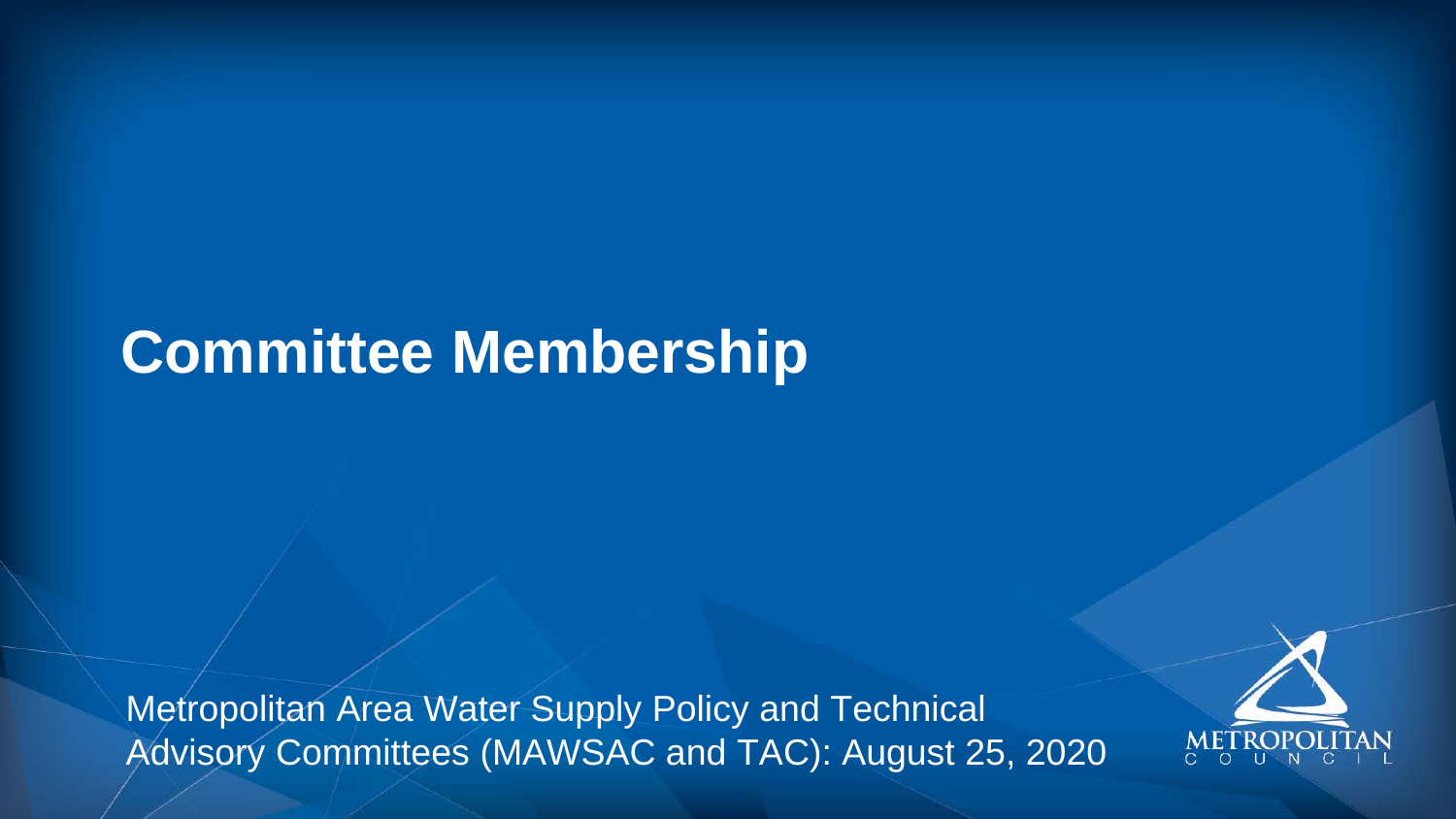## **Committee Membership**

 Metropolitan Area Water Supply Policy and Technical Advisory Committees (MAWSAC and TAC): August 25, 2020

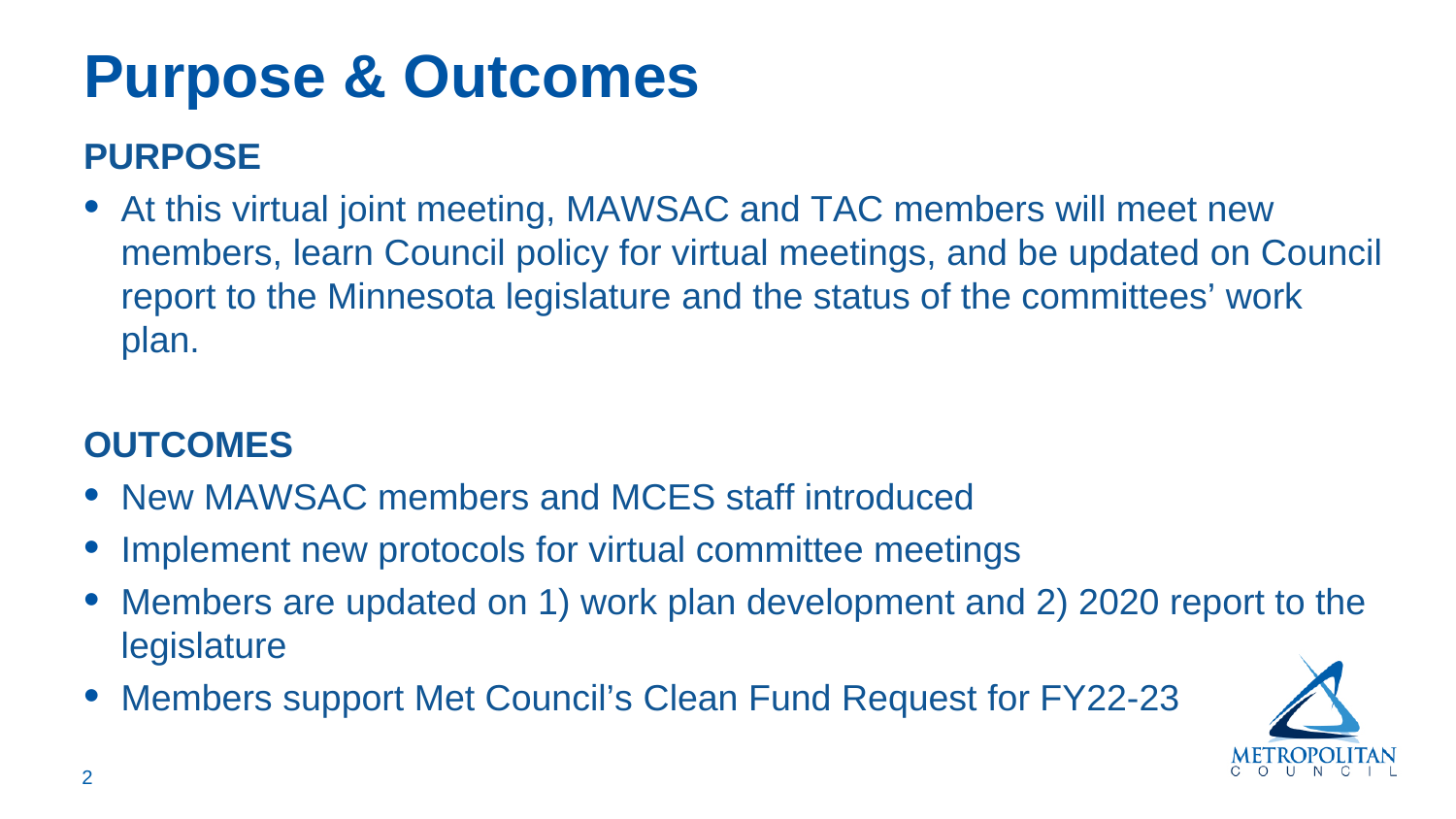# **Purpose & Outcomes**

### **PURPOSE**

 • At this virtual joint meeting, MAWSAC and TAC members will meet new members, learn Council policy for virtual meetings, and be updated on Council report to the Minnesota legislature and the status of the committees' work plan.

#### **OUTCOMES**

- New MAWSAC members and MCES staff introduced
- Implement new protocols for virtual committee meetings
- Members are updated on 1) work plan development and 2) 2020 report to the legislature
- Members support Met Council's Clean Fund Request for FY22-23

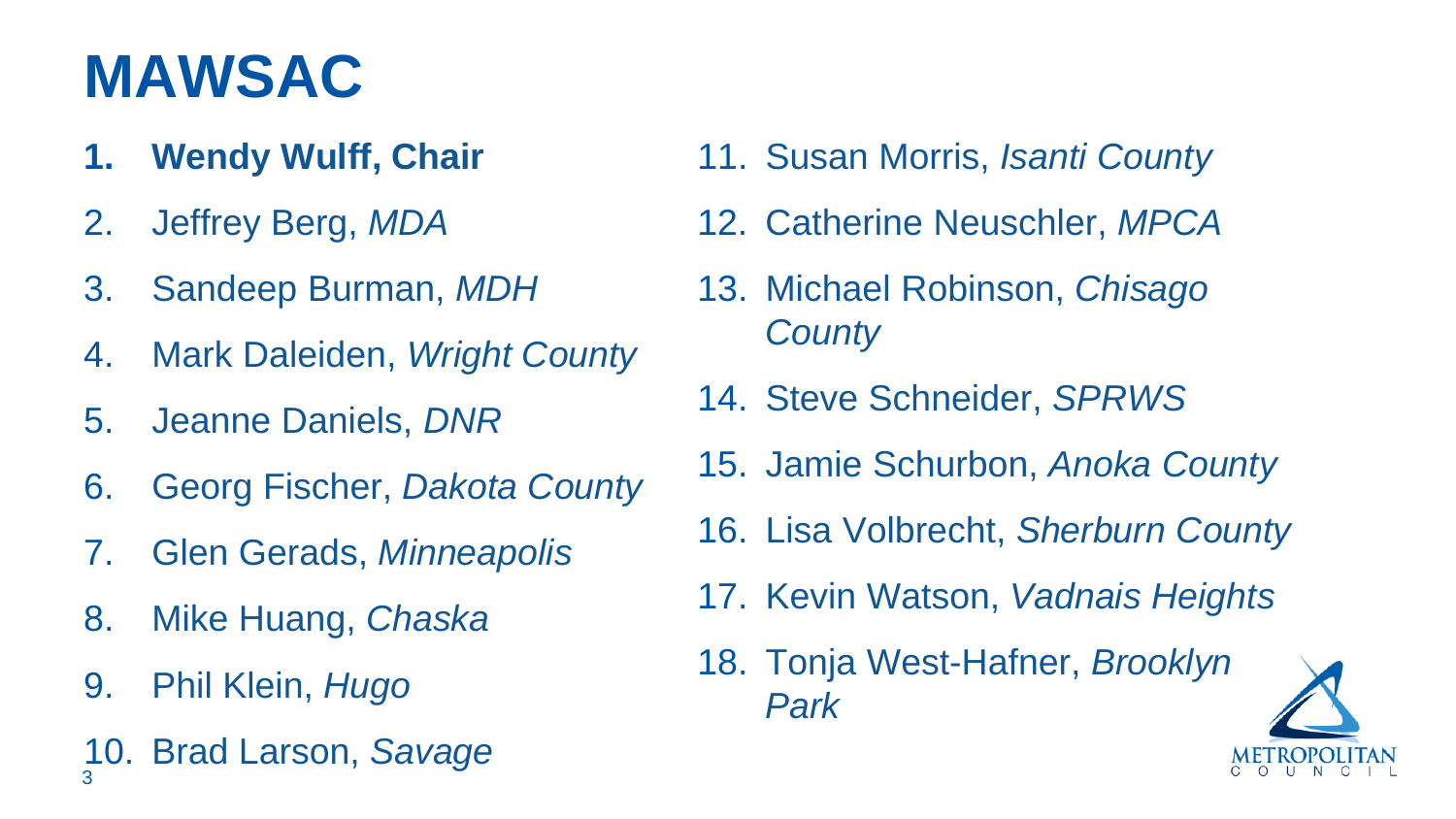## **MAWSAC**

- **1. Wendy Wulff, Chair**
- 2. Jeffrey Berg, *MDA*
- 3. Sandeep Burman, *MDH*
- 4. Mark Daleiden, *Wright County*
- 5. Jeanne Daniels, *DNR*
- 6. Georg Fischer, *Dakota County*
- 7. Glen Gerads, *Minneapolis*
- 8. Mike Huang, *Chaska*
- 9. Phil Klein, *Hugo*
- 10. Brad Larson, *Savage*  3
- 11. Susan Morris, *Isanti County*
- 12. Catherine Neuschler, *MPCA*
- 13. Michael Robinson, *Chisago County*
- 14. Steve Schneider, *SPRWS*
- 15. Jamie Schurbon, *Anoka County*
- 16. Lisa Volbrecht, *Sherburn County*
- 17. Kevin Watson, *Vadnais Heights*
- 18. Tonja West-Hafner, *Brooklyn Park*

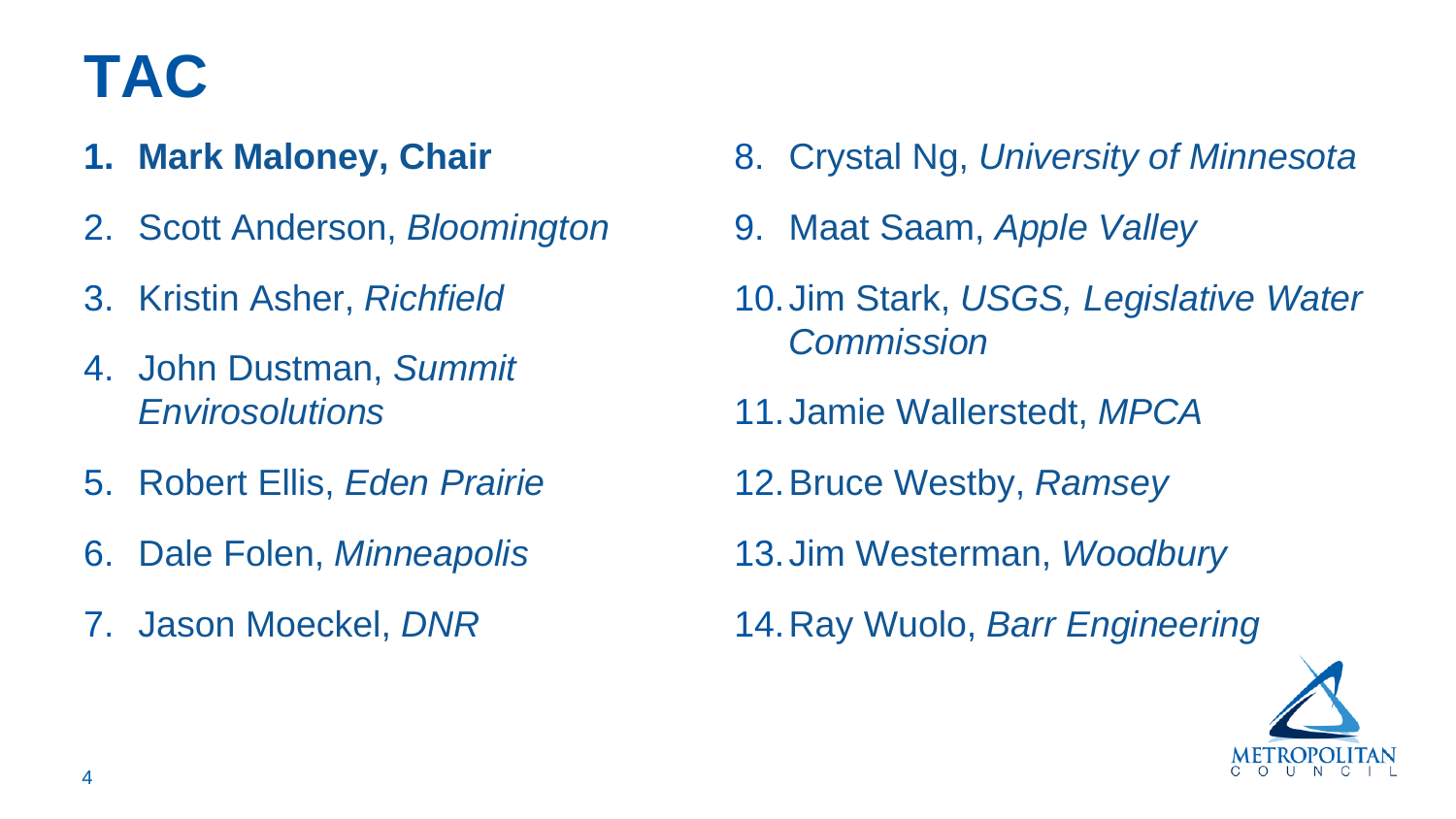## **TAC**

- 
- 2. Scott Anderson, *Bloomington* 9. Maat Saam, *Apple Valley*
- 
- 4. John Dustman, *Summit Commission*
- 5. Robert Ellis, *Eden Prairie* 12.Bruce Westby, *Ramsey*
- 
- 7. Jason Moeckel, DNR
- **1. Mark Maloney, Chair**  28. Crystal Ng, *University of Minnesota* 
	-
- 3. Kristin Asher, *Richfield* 10.Jim Stark, *USGS, Legislative Water* 
	- *Envirosolutions* 11.Jamie Wallerstedt, *MPCA* 
		-
- 6. Dale Folen, *Minneapolis* 13.Jim Westerman, *Woodbury* 
	- 14. Ray Wuolo, *Barr Engineering*